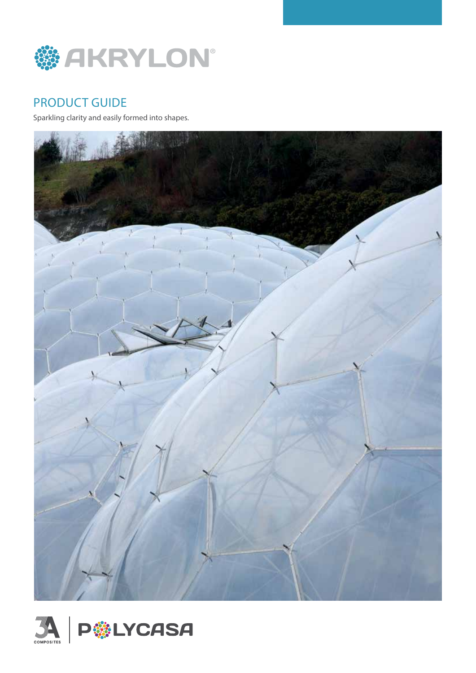

# PRODUCT GUIDE

Sparkling clarity and easily formed into shapes.



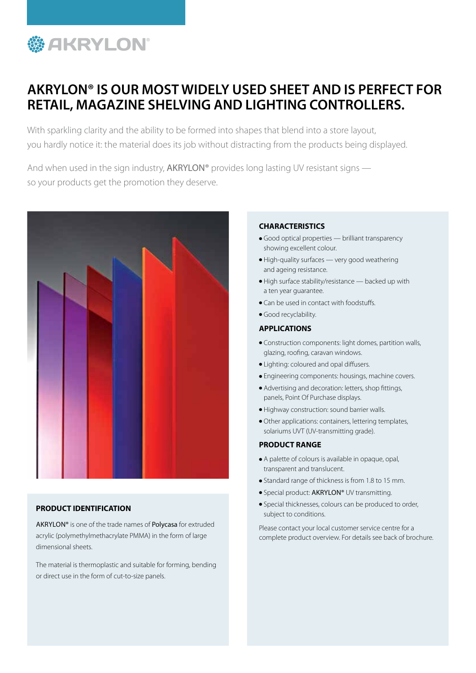

# **AKRYLON® IS OUR MOST WIDELY USED SHEET AND IS PERFECT FOR RETAIL, MAGAZINE SHELVING AND LIGHTING CONTROLLERS.**

With sparkling clarity and the ability to be formed into shapes that blend into a store layout, you hardly notice it: the material does its job without distracting from the products being displayed.

And when used in the sign industry, AKRYLON® provides long lasting UV resistant signs so your products get the promotion they deserve.



### **PRODUCT IDENTIFICATION**

AKRYLON® is one of the trade names of Polycasa for extruded acrylic (polymethylmethacrylate PMMA) in the form of large dimensional sheets.

The material is thermoplastic and suitable for forming, bending or direct use in the form of cut-to-size panels.

#### **CHARACTERISTICS**

- Good optical properties brilliant transparency showing excellent colour.
- High-quality surfaces very good weathering and ageing resistance.
- High surface stability/resistance backed up with a ten year guarantee.
- Can be used in contact with foodstuffs.
- Good recyclability.

### **APPLICATIONS**

- Construction components: light domes, partition walls, glazing, roofing, caravan windows.
- Lighting: coloured and opal diffusers.
- Engineering components: housings, machine covers.
- Advertising and decoration: letters, shop fittings, panels, Point Of Purchase displays.
- Highway construction: sound barrier walls.
- Other applications: containers, lettering templates, solariums UVT (UV-transmitting grade).

#### **PRODUCT RANGE**

- A palette of colours is available in opaque, opal, transparent and translucent.
- Standard range of thickness is from 1.8 to 15 mm.
- Special product: AKRYLON® UV transmitting.
- Special thicknesses, colours can be produced to order, subject to conditions.

Please contact your local customer service centre for a complete product overview. For details see back of brochure.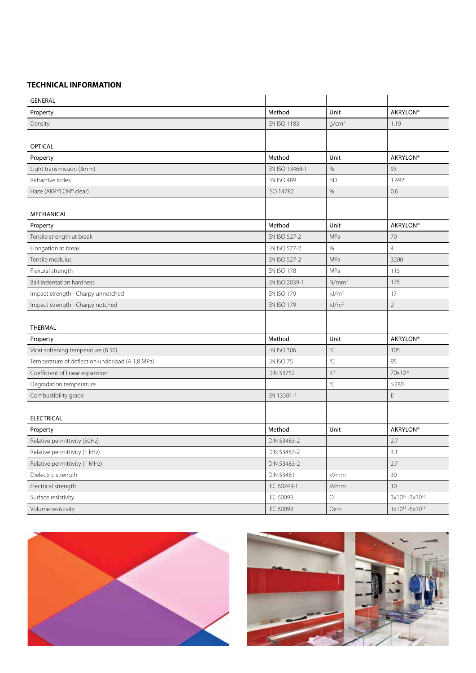## **TECHNICAL INFORMATION**

| <b>GENERAL</b>                                  |                    |                   |                                       |
|-------------------------------------------------|--------------------|-------------------|---------------------------------------|
| Property                                        | Method             | Unit              | <b>AKRYLON®</b>                       |
| Density                                         | <b>EN ISO 1183</b> | g/cm <sup>3</sup> | 1.19                                  |
|                                                 |                    |                   |                                       |
| <b>OPTICAL</b>                                  |                    |                   |                                       |
| Property                                        | Method             | Unit              | <b>AKRYLON®</b>                       |
| Light transmission (3mm)                        | EN ISO 13468-1     | $\%$              | 93                                    |
| Refractive index                                | <b>EN ISO 489</b>  | nD                | 1.492                                 |
| Haze (AKRYLON® clear)                           | ISO 14782          | $\%$              | 0.6                                   |
|                                                 |                    |                   |                                       |
| MECHANICAL                                      |                    |                   |                                       |
| Property                                        | Method             | Unit              | <b>AKRYLON®</b>                       |
| Tensile strength at break                       | EN ISO 527-2       | MPa               | 70                                    |
| Elongation at break                             | EN ISO 527-2       | $\%$              | $\overline{4}$                        |
| Tensile modulus                                 | EN ISO 527-2       | MPa               | 3200                                  |
| Flexural strength                               | <b>EN ISO 178</b>  | MPa               | 115                                   |
| <b>Ball indentation hardness</b>                | EN ISO 2039-1      | N/mm <sup>2</sup> | 175                                   |
| Impact strength - Charpy unnotched              | <b>EN ISO 179</b>  | kJ/m <sup>2</sup> | 17                                    |
| Impact strength - Charpy notched                | <b>EN ISO 179</b>  | kJ/m <sup>2</sup> | $\overline{2}$                        |
|                                                 |                    |                   |                                       |
| <b>THERMAL</b>                                  |                    |                   |                                       |
| Property                                        | Method             | Unit              | <b>AKRYLON®</b>                       |
| Vicat softening temperature (B 50)              | <b>EN ISO 306</b>  | $^{\circ}C$       | 105                                   |
| Temperature of deflection underload (A 1,8 MPa) | EN ISO 75          | $^{\circ}C$       | 95                                    |
| Coefficient of linear expansion                 | <b>DIN 53752</b>   | $K^{-1}$          | 70x10 <sup>-6</sup>                   |
| Degradation temperature                         |                    | °C                | >280                                  |
| Combustibility grade                            | EN 13501-1         |                   | E                                     |
|                                                 |                    |                   |                                       |
| <b>ELECTRICAL</b>                               |                    |                   |                                       |
| Property                                        | Method             | Unit              | <b>AKRYLON®</b>                       |
| Relative permittivity (50Hz)                    | DIN 53483-2        |                   | 2.7                                   |
| Relative permittivity (1 kHz)                   | DIN 53483-2        |                   | $3.1\,$                               |
| Relative permittivity (1 MHz)                   | DIN 53483-2        |                   | 2.7                                   |
| Dielectric strength                             | <b>DIN 53481</b>   | kVmm              | 30                                    |
| Electrical strength                             | IEC 60243-1        | kVmm              | 10                                    |
| Surface resistivity                             | IEC 60093          | $\Omega$          | $3x10^{15} - 3x10^{16}$               |
| Volume resistivity                              | IEC 60093          | $\Omega$ xm       | $1 \times 10^{13} - 5 \times 10^{13}$ |